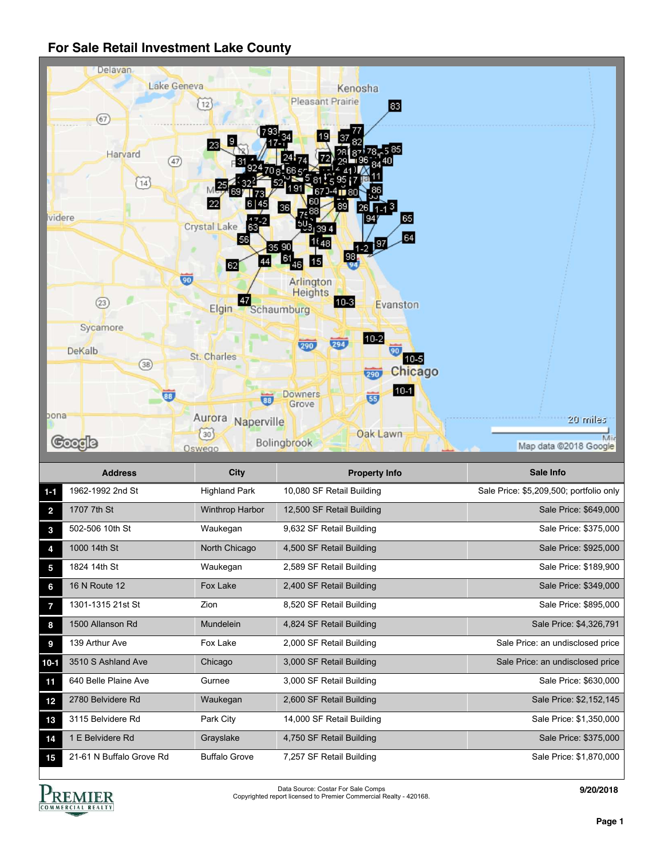

|                | <b>Address</b>           | <b>City</b>          | <b>Property Info</b>      | Sale Info                               |
|----------------|--------------------------|----------------------|---------------------------|-----------------------------------------|
| $1 - 1$        | 1962-1992 2nd St         | <b>Highland Park</b> | 10,080 SF Retail Building | Sale Price: \$5,209,500; portfolio only |
| $\overline{2}$ | 1707 7th St              | Winthrop Harbor      | 12,500 SF Retail Building | Sale Price: \$649,000                   |
| 3              | 502-506 10th St          | Waukegan             | 9,632 SF Retail Building  | Sale Price: \$375,000                   |
| 4              | 1000 14th St             | North Chicago        | 4,500 SF Retail Building  | Sale Price: \$925,000                   |
| 5              | 1824 14th St             | Waukegan             | 2,589 SF Retail Building  | Sale Price: \$189,900                   |
| 6              | 16 N Route 12            | Fox Lake             | 2,400 SF Retail Building  | Sale Price: \$349,000                   |
| 7              | 1301-1315 21st St        | Zion                 | 8,520 SF Retail Building  | Sale Price: \$895,000                   |
| 8              | 1500 Allanson Rd         | Mundelein            | 4,824 SF Retail Building  | Sale Price: \$4,326,791                 |
| 9              | 139 Arthur Ave           | Fox Lake             | 2,000 SF Retail Building  | Sale Price: an undisclosed price        |
| $10-1$         | 3510 S Ashland Ave       | Chicago              | 3,000 SF Retail Building  | Sale Price: an undisclosed price        |
| 11             | 640 Belle Plaine Ave     | Gurnee               | 3,000 SF Retail Building  | Sale Price: \$630,000                   |
| 12             | 2780 Belvidere Rd        | Waukegan             | 2,600 SF Retail Building  | Sale Price: \$2,152,145                 |
| 13             | 3115 Belvidere Rd        | Park City            | 14,000 SF Retail Building | Sale Price: \$1,350,000                 |
| 14             | 1 E Belvidere Rd         | Grayslake            | 4,750 SF Retail Building  | Sale Price: \$375,000                   |
| 15             | 21-61 N Buffalo Grove Rd | <b>Buffalo Grove</b> | 7,257 SF Retail Building  | Sale Price: \$1,870,000                 |



Data Source: Costar For Sale Comps Copyrighted report licensed to Premier Commercial Realty - 420168.

**9/20/2018**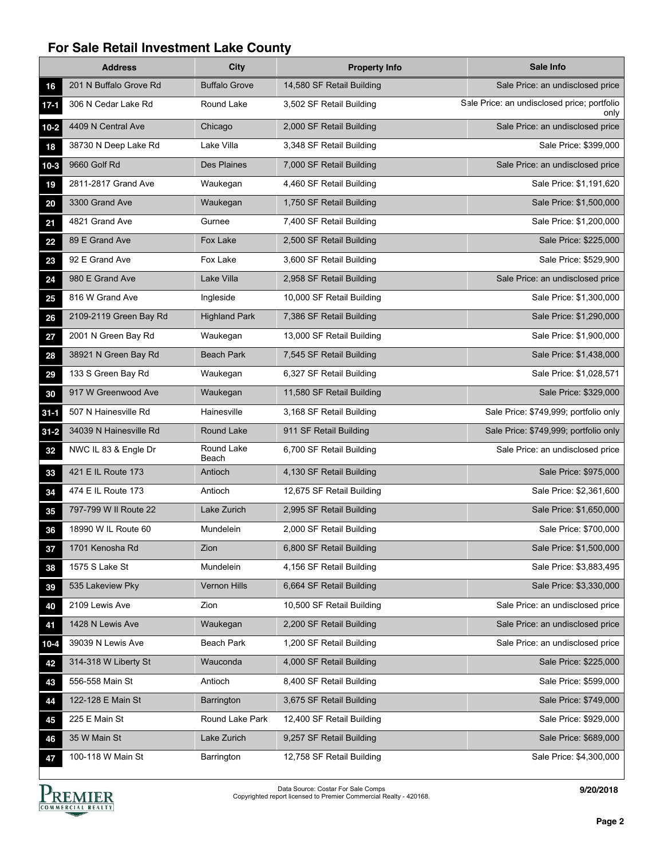|          | <b>Address</b>         | <b>City</b>          | <b>Property Info</b>      | Sale Info                                           |
|----------|------------------------|----------------------|---------------------------|-----------------------------------------------------|
| 16       | 201 N Buffalo Grove Rd | <b>Buffalo Grove</b> | 14,580 SF Retail Building | Sale Price: an undisclosed price                    |
| $17-1$   | 306 N Cedar Lake Rd    | Round Lake           | 3,502 SF Retail Building  | Sale Price: an undisclosed price; portfolio<br>only |
| $10-2$   | 4409 N Central Ave     | Chicago              | 2,000 SF Retail Building  | Sale Price: an undisclosed price                    |
| 18       | 38730 N Deep Lake Rd   | Lake Villa           | 3,348 SF Retail Building  | Sale Price: \$399,000                               |
| $10-3$   | 9660 Golf Rd           | Des Plaines          | 7,000 SF Retail Building  | Sale Price: an undisclosed price                    |
| 19       | 2811-2817 Grand Ave    | Waukegan             | 4,460 SF Retail Building  | Sale Price: \$1,191,620                             |
| 20       | 3300 Grand Ave         | Waukegan             | 1,750 SF Retail Building  | Sale Price: \$1,500,000                             |
| 21       | 4821 Grand Ave         | Gurnee               | 7,400 SF Retail Building  | Sale Price: \$1,200,000                             |
| 22       | 89 E Grand Ave         | Fox Lake             | 2,500 SF Retail Building  | Sale Price: \$225,000                               |
| 23       | 92 E Grand Ave         | Fox Lake             | 3,600 SF Retail Building  | Sale Price: \$529,900                               |
| 24       | 980 E Grand Ave        | Lake Villa           | 2,958 SF Retail Building  | Sale Price: an undisclosed price                    |
| 25       | 816 W Grand Ave        | Ingleside            | 10,000 SF Retail Building | Sale Price: \$1,300,000                             |
| 26       | 2109-2119 Green Bay Rd | <b>Highland Park</b> | 7,386 SF Retail Building  | Sale Price: \$1,290,000                             |
| 27       | 2001 N Green Bay Rd    | Waukegan             | 13,000 SF Retail Building | Sale Price: \$1,900,000                             |
| 28       | 38921 N Green Bay Rd   | <b>Beach Park</b>    | 7,545 SF Retail Building  | Sale Price: \$1,438,000                             |
| 29       | 133 S Green Bay Rd     | Waukegan             | 6,327 SF Retail Building  | Sale Price: \$1,028,571                             |
| 30       | 917 W Greenwood Ave    | Waukegan             | 11,580 SF Retail Building | Sale Price: \$329,000                               |
| $31 - 1$ | 507 N Hainesville Rd   | Hainesville          | 3,168 SF Retail Building  | Sale Price: \$749,999; portfolio only               |
| $31 - 2$ | 34039 N Hainesville Rd | Round Lake           | 911 SF Retail Building    | Sale Price: \$749,999; portfolio only               |
| 32       | NWC IL 83 & Engle Dr   | Round Lake<br>Beach  | 6,700 SF Retail Building  | Sale Price: an undisclosed price                    |
| 33       | 421 E IL Route 173     | Antioch              | 4,130 SF Retail Building  | Sale Price: \$975,000                               |
| 34       | 474 E IL Route 173     | Antioch              | 12,675 SF Retail Building | Sale Price: \$2,361,600                             |
| 35       | 797-799 W II Route 22  | Lake Zurich          | 2,995 SF Retail Building  | Sale Price: \$1,650,000                             |
| 36       | 18990 W IL Route 60    | Mundelein            | 2,000 SF Retail Building  | Sale Price: \$700,000                               |
| 37       | 1701 Kenosha Rd        | Zion                 | 6,800 SF Retail Building  | Sale Price: \$1,500,000                             |
| 38       | 1575 S Lake St         | Mundelein            | 4,156 SF Retail Building  | Sale Price: \$3,883,495                             |
| 39       | 535 Lakeview Pky       | Vernon Hills         | 6,664 SF Retail Building  | Sale Price: \$3,330,000                             |
| 40       | 2109 Lewis Ave         | Zion                 | 10,500 SF Retail Building | Sale Price: an undisclosed price                    |
| 41       | 1428 N Lewis Ave       | Waukegan             | 2,200 SF Retail Building  | Sale Price: an undisclosed price                    |
| $10 - 4$ | 39039 N Lewis Ave      | Beach Park           | 1,200 SF Retail Building  | Sale Price: an undisclosed price                    |
| 42       | 314-318 W Liberty St   | Wauconda             | 4,000 SF Retail Building  | Sale Price: \$225,000                               |
| 43       | 556-558 Main St        | Antioch              | 8,400 SF Retail Building  | Sale Price: \$599,000                               |
| 44       | 122-128 E Main St      | <b>Barrington</b>    | 3,675 SF Retail Building  | Sale Price: \$749,000                               |
| 45       | 225 E Main St          | Round Lake Park      | 12,400 SF Retail Building | Sale Price: \$929,000                               |
| 46       | 35 W Main St           | Lake Zurich          | 9,257 SF Retail Building  | Sale Price: \$689,000                               |
| 47       | 100-118 W Main St      | Barrington           | 12,758 SF Retail Building | Sale Price: \$4,300,000                             |

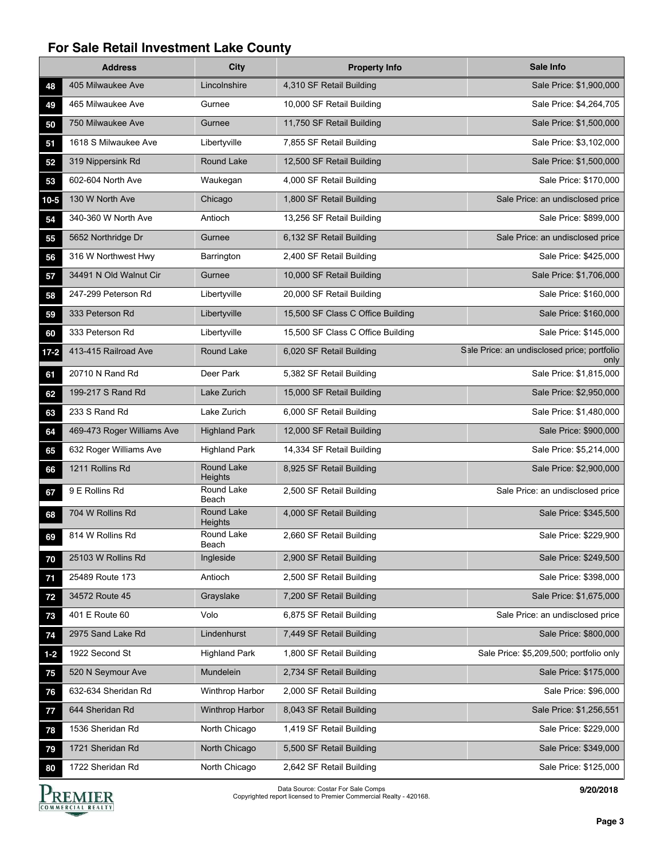|          | <b>Address</b>             | <b>City</b>                  | <b>Property Info</b>              | Sale Info                                           |
|----------|----------------------------|------------------------------|-----------------------------------|-----------------------------------------------------|
| 48       | 405 Milwaukee Ave          | Lincolnshire                 | 4,310 SF Retail Building          | Sale Price: \$1,900,000                             |
| 49       | 465 Milwaukee Ave          | Gurnee                       | 10,000 SF Retail Building         | Sale Price: \$4,264,705                             |
| 50       | 750 Milwaukee Ave          | Gurnee                       | 11,750 SF Retail Building         | Sale Price: \$1,500,000                             |
| 51       | 1618 S Milwaukee Ave       | Libertyville                 | 7,855 SF Retail Building          | Sale Price: \$3,102,000                             |
| 52       | 319 Nippersink Rd          | Round Lake                   | 12,500 SF Retail Building         | Sale Price: \$1,500,000                             |
| 53       | 602-604 North Ave          | Waukegan                     | 4,000 SF Retail Building          | Sale Price: \$170,000                               |
| $10-5$   | 130 W North Ave            | Chicago                      | 1,800 SF Retail Building          | Sale Price: an undisclosed price                    |
| 54       | 340-360 W North Ave        | Antioch                      | 13,256 SF Retail Building         | Sale Price: \$899,000                               |
| 55       | 5652 Northridge Dr         | Gurnee                       | 6,132 SF Retail Building          | Sale Price: an undisclosed price                    |
| 56       | 316 W Northwest Hwy        | Barrington                   | 2,400 SF Retail Building          | Sale Price: \$425,000                               |
| 57       | 34491 N Old Walnut Cir     | Gurnee                       | 10,000 SF Retail Building         | Sale Price: \$1,706,000                             |
| 58       | 247-299 Peterson Rd        | Libertyville                 | 20,000 SF Retail Building         | Sale Price: \$160,000                               |
| 59       | 333 Peterson Rd            | Libertyville                 | 15,500 SF Class C Office Building | Sale Price: \$160,000                               |
| 60       | 333 Peterson Rd            | Libertyville                 | 15,500 SF Class C Office Building | Sale Price: \$145,000                               |
| $17 - 2$ | 413-415 Railroad Ave       | Round Lake                   | 6,020 SF Retail Building          | Sale Price: an undisclosed price; portfolio<br>only |
| 61       | 20710 N Rand Rd            | Deer Park                    | 5,382 SF Retail Building          | Sale Price: \$1,815,000                             |
| 62       | 199-217 S Rand Rd          | Lake Zurich                  | 15,000 SF Retail Building         | Sale Price: \$2,950,000                             |
| 63       | 233 S Rand Rd              | Lake Zurich                  | 6,000 SF Retail Building          | Sale Price: \$1,480,000                             |
| 64       | 469-473 Roger Williams Ave | <b>Highland Park</b>         | 12,000 SF Retail Building         | Sale Price: \$900,000                               |
| 65       | 632 Roger Williams Ave     | <b>Highland Park</b>         | 14,334 SF Retail Building         | Sale Price: \$5,214,000                             |
| 66       | 1211 Rollins Rd            | Round Lake<br>Heights        | 8,925 SF Retail Building          | Sale Price: \$2,900,000                             |
| 67       | 9 E Rollins Rd             | Round Lake<br>Beach          | 2,500 SF Retail Building          | Sale Price: an undisclosed price                    |
| 68       | 704 W Rollins Rd           | <b>Round Lake</b><br>Heights | 4,000 SF Retail Building          | Sale Price: \$345,500                               |
| 69       | 814 W Rollins Rd           | Round Lake<br>Beach          | 2,660 SF Retail Building          | Sale Price: \$229,900                               |
| 70       | 25103 W Rollins Rd         | Ingleside                    | 2,900 SF Retail Building          | Sale Price: \$249,500                               |
| 71       | 25489 Route 173            | Antioch                      | 2,500 SF Retail Building          | Sale Price: \$398,000                               |
| 72       | 34572 Route 45             | Grayslake                    | 7,200 SF Retail Building          | Sale Price: \$1,675,000                             |
| 73       | 401 E Route 60             | Volo                         | 6,875 SF Retail Building          | Sale Price: an undisclosed price                    |
| 74       | 2975 Sand Lake Rd          | Lindenhurst                  | 7,449 SF Retail Building          | Sale Price: \$800,000                               |
| $1-2$    | 1922 Second St             | <b>Highland Park</b>         | 1,800 SF Retail Building          | Sale Price: \$5,209,500; portfolio only             |
| 75       | 520 N Seymour Ave          | Mundelein                    | 2,734 SF Retail Building          | Sale Price: \$175,000                               |
| 76       | 632-634 Sheridan Rd        | Winthrop Harbor              | 2,000 SF Retail Building          | Sale Price: \$96,000                                |
| 77       | 644 Sheridan Rd            | <b>Winthrop Harbor</b>       | 8,043 SF Retail Building          | Sale Price: \$1,256,551                             |
| 78       | 1536 Sheridan Rd           | North Chicago                | 1,419 SF Retail Building          | Sale Price: \$229,000                               |
| 79       | 1721 Sheridan Rd           | North Chicago                | 5,500 SF Retail Building          | Sale Price: \$349,000                               |
| 80       | 1722 Sheridan Rd           | North Chicago                | 2,642 SF Retail Building          | Sale Price: \$125,000                               |



Data Source: Costar For Sale Comps Copyrighted report licensed to Premier Commercial Realty - 420168.

**9/20/2018**